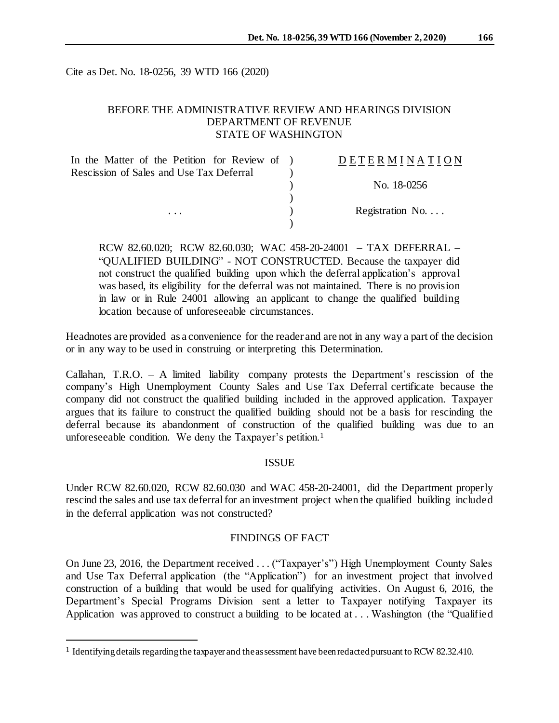Cite as Det. No. 18-0256, 39 WTD 166 (2020)

## BEFORE THE ADMINISTRATIVE REVIEW AND HEARINGS DIVISION DEPARTMENT OF REVENUE STATE OF WASHINGTON

| In the Matter of the Petition for Review of ) | DETERMINATION            |
|-----------------------------------------------|--------------------------|
| Rescission of Sales and Use Tax Deferral      |                          |
|                                               | No. 18-0256              |
|                                               |                          |
| $\cdots$                                      | Registration No. $\dots$ |
|                                               |                          |

RCW 82.60.020; RCW 82.60.030; WAC 458-20-24001 – TAX DEFERRAL – "QUALIFIED BUILDING" - NOT CONSTRUCTED. Because the taxpayer did not construct the qualified building upon which the deferral application's approval was based, its eligibility for the deferral was not maintained. There is no provision in law or in Rule 24001 allowing an applicant to change the qualified building location because of unforeseeable circumstances.

Headnotes are provided as a convenience for the reader and are not in any way a part of the decision or in any way to be used in construing or interpreting this Determination.

Callahan, T.R.O. – A limited liability company protests the Department's rescission of the company's High Unemployment County Sales and Use Tax Deferral certificate because the company did not construct the qualified building included in the approved application. Taxpayer argues that its failure to construct the qualified building should not be a basis for rescinding the deferral because its abandonment of construction of the qualified building was due to an unforeseeable condition. We deny the Taxpayer's petition.<sup>1</sup>

### ISSUE

Under RCW 82.60.020, RCW 82.60.030 and WAC 458-20-24001, did the Department properly rescind the sales and use tax deferral for an investment project when the qualified building included in the deferral application was not constructed?

### FINDINGS OF FACT

On June 23, 2016, the Department received . . . ("Taxpayer's") High Unemployment County Sales and Use Tax Deferral application (the "Application") for an investment project that involved construction of a building that would be used for qualifying activities. On August 6, 2016, the Department's Special Programs Division sent a letter to Taxpayer notifying Taxpayer its Application was approved to construct a building to be located at . . . Washington (the "Qualified

l

<sup>&</sup>lt;sup>1</sup> Identifying details regarding the taxpayer and the assessment have been redacted pursuant to RCW 82.32.410.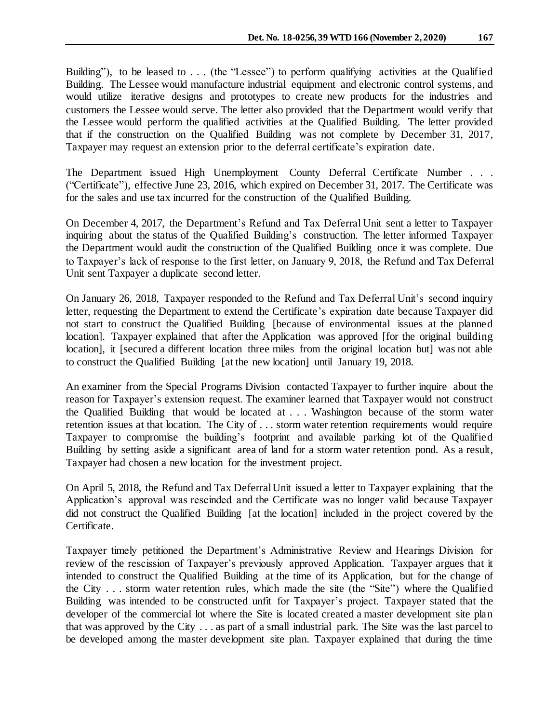Building"), to be leased to . . . (the "Lessee") to perform qualifying activities at the Qualified Building. The Lessee would manufacture industrial equipment and electronic control systems, and would utilize iterative designs and prototypes to create new products for the industries and customers the Lessee would serve. The letter also provided that the Department would verify that the Lessee would perform the qualified activities at the Qualified Building. The letter provided that if the construction on the Qualified Building was not complete by December 31, 2017, Taxpayer may request an extension prior to the deferral certificate's expiration date.

The Department issued High Unemployment County Deferral Certificate Number . . . ("Certificate"), effective June 23, 2016, which expired on December 31, 2017. The Certificate was for the sales and use tax incurred for the construction of the Qualified Building.

On December 4, 2017, the Department's Refund and Tax Deferral Unit sent a letter to Taxpayer inquiring about the status of the Qualified Building's construction. The letter informed Taxpayer the Department would audit the construction of the Qualified Building once it was complete. Due to Taxpayer's lack of response to the first letter, on January 9, 2018, the Refund and Tax Deferral Unit sent Taxpayer a duplicate second letter.

On January 26, 2018, Taxpayer responded to the Refund and Tax Deferral Unit's second inquiry letter, requesting the Department to extend the Certificate's expiration date because Taxpayer did not start to construct the Qualified Building [because of environmental issues at the planned location]. Taxpayer explained that after the Application was approved [for the original building location], it [secured a different location three miles from the original location but] was not able to construct the Qualified Building [at the new location] until January 19, 2018.

An examiner from the Special Programs Division contacted Taxpayer to further inquire about the reason for Taxpayer's extension request. The examiner learned that Taxpayer would not construct the Qualified Building that would be located at . . . Washington because of the storm water retention issues at that location. The City of . . . storm water retention requirements would require Taxpayer to compromise the building's footprint and available parking lot of the Qualified Building by setting aside a significant area of land for a storm water retention pond. As a result, Taxpayer had chosen a new location for the investment project.

On April 5, 2018, the Refund and Tax Deferral Unit issued a letter to Taxpayer explaining that the Application's approval was rescinded and the Certificate was no longer valid because Taxpayer did not construct the Qualified Building [at the location] included in the project covered by the Certificate.

Taxpayer timely petitioned the Department's Administrative Review and Hearings Division for review of the rescission of Taxpayer's previously approved Application. Taxpayer argues that it intended to construct the Qualified Building at the time of its Application, but for the change of the City . . . storm water retention rules, which made the site (the "Site") where the Qualified Building was intended to be constructed unfit for Taxpayer's project. Taxpayer stated that the developer of the commercial lot where the Site is located created a master development site plan that was approved by the City . . . as part of a small industrial park. The Site was the last parcel to be developed among the master development site plan. Taxpayer explained that during the time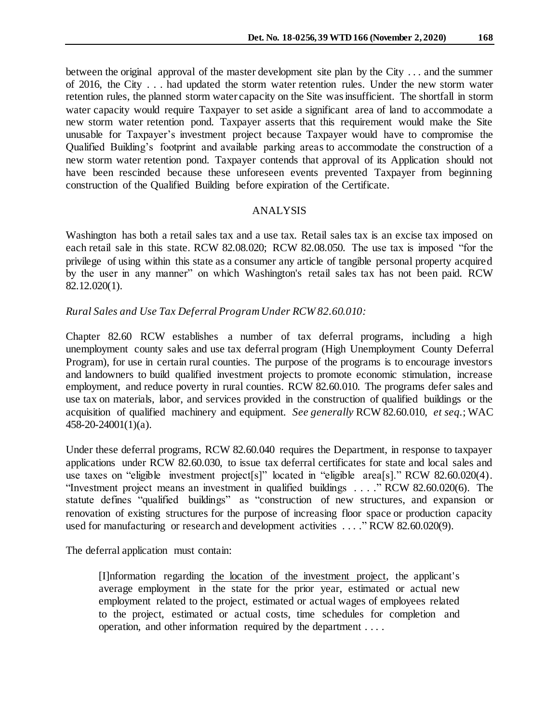between the original approval of the master development site plan by the City . . . and the summer of 2016, the City . . . had updated the storm water retention rules. Under the new storm water retention rules, the planned storm water capacity on the Site was insufficient. The shortfall in storm water capacity would require Taxpayer to set aside a significant area of land to accommodate a new storm water retention pond. Taxpayer asserts that this requirement would make the Site unusable for Taxpayer's investment project because Taxpayer would have to compromise the Qualified Building's footprint and available parking areas to accommodate the construction of a new storm water retention pond. Taxpayer contends that approval of its Application should not have been rescinded because these unforeseen events prevented Taxpayer from beginning construction of the Qualified Building before expiration of the Certificate.

### ANALYSIS

Washington has both a retail sales tax and a use tax. Retail sales tax is an excise tax imposed on each retail sale in this state. RCW 82.08.020; RCW 82.08.050. The use tax is imposed "for the privilege of using within this state as a consumer any article of tangible personal property acquired by the user in any manner" on which Washington's retail sales tax has not been paid. RCW 82.12.020(1).

### *Rural Sales and Use Tax Deferral Program Under RCW 82.60.010:*

Chapter 82.60 RCW establishes a number of tax deferral programs, including a high unemployment county sales and use tax deferral program (High Unemployment County Deferral Program), for use in certain rural counties. The purpose of the programs is to encourage investors and landowners to build qualified investment projects to promote economic stimulation, increase employment, and reduce poverty in rural counties. RCW 82.60.010. The programs defer sales and use tax on materials, labor, and services provided in the construction of qualified buildings or the acquisition of qualified machinery and equipment. *See generally* RCW 82.60.010, *et seq.*; WAC 458-20-24001(1)(a).

Under these deferral programs, RCW 82.60.040 requires the Department, in response to taxpayer applications under RCW 82.60.030, to issue tax deferral certificates for state and local sales and use taxes on "eligible investment project[s]" located in "eligible area[s]." RCW 82.60.020(4). "Investment project means an investment in qualified buildings . . . ." RCW 82.60.020(6). The statute defines "qualified buildings" as "construction of new structures, and expansion or renovation of existing structures for the purpose of increasing floor space or production capacity used for manufacturing or research and development activities ...." RCW 82.60.020(9).

The deferral application must contain:

[I]nformation regarding the location of the investment project, the applicant's average employment in the state for the prior year, estimated or actual new employment related to the project, estimated or actual wages of employees related to the project, estimated or actual costs, time schedules for completion and operation, and other information required by the department . . . .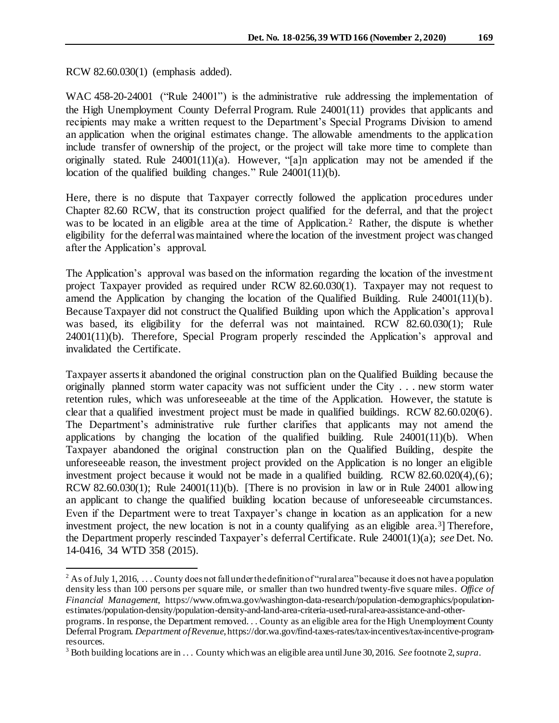RCW 82.60.030(1) (emphasis added).

l

WAC 458-20-24001 ("Rule 24001") is the administrative rule addressing the implementation of the High Unemployment County Deferral Program. Rule 24001(11) provides that applicants and recipients may make a written request to the Department's Special Programs Division to amend an application when the original estimates change. The allowable amendments to the application include transfer of ownership of the project, or the project will take more time to complete than originally stated. Rule  $24001(11)(a)$ . However, "[a]n application may not be amended if the location of the qualified building changes." Rule 24001(11)(b).

Here, there is no dispute that Taxpayer correctly followed the application procedures under Chapter 82.60 RCW, that its construction project qualified for the deferral, and that the project was to be located in an eligible area at the time of Application.<sup>2</sup> Rather, the dispute is whether eligibility for the deferral was maintained where the location of the investment project was changed after the Application's approval.

The Application's approval was based on the information regarding the location of the investment project Taxpayer provided as required under RCW 82.60.030(1). Taxpayer may not request to amend the Application by changing the location of the Qualified Building. Rule 24001(11)(b). Because Taxpayer did not construct the Qualified Building upon which the Application's approval was based, its eligibility for the deferral was not maintained. RCW 82.60.030(1); Rule 24001(11)(b). Therefore, Special Program properly rescinded the Application's approval and invalidated the Certificate.

Taxpayer asserts it abandoned the original construction plan on the Qualified Building because the originally planned storm water capacity was not sufficient under the City . . . new storm water retention rules, which was unforeseeable at the time of the Application. However, the statute is clear that a qualified investment project must be made in qualified buildings. RCW 82.60.020(6). The Department's administrative rule further clarifies that applicants may not amend the applications by changing the location of the qualified building. Rule  $24001(11)(b)$ . When Taxpayer abandoned the original construction plan on the Qualified Building, despite the unforeseeable reason, the investment project provided on the Application is no longer an eligible investment project because it would not be made in a qualified building. RCW 82.60.020(4),(6); RCW 82.60.030(1); Rule 24001(11)(b). [There is no provision in law or in Rule 24001 allowing an applicant to change the qualified building location because of unforeseeable circumstances. Even if the Department were to treat Taxpayer's change in location as an application for a new investment project, the new location is not in a county qualifying as an eligible area.<sup>3</sup>] Therefore, the Department properly rescinded Taxpayer's deferral Certificate. Rule 24001(1)(a); *see* Det. No. 14-0416, 34 WTD 358 (2015).

 $2$  As of July 1, 2016, ... County does not fall under the definition of "rural area" because it does not have a population density less than 100 persons per square mile, or smaller than two hundred twenty-five square miles. *Office of Financial Management*, https://www.ofm.wa.gov/washington-data-research/population-demographics/populationestimates/population-density/population-density-and-land-area-criteria-used-rural-area-assistance-and-other-

programs. In response, the Department removed. . . County as an eligible area for the High Unemployment County Deferral Program. *Department of Revenue*, https://dor.wa.gov/find-taxes-rates/tax-incentives/tax-incentive-programresources.

<sup>3</sup> Both building locations are in . . . County which was an eligible area until June 30, 2016. *See* footnote 2, *supra*.